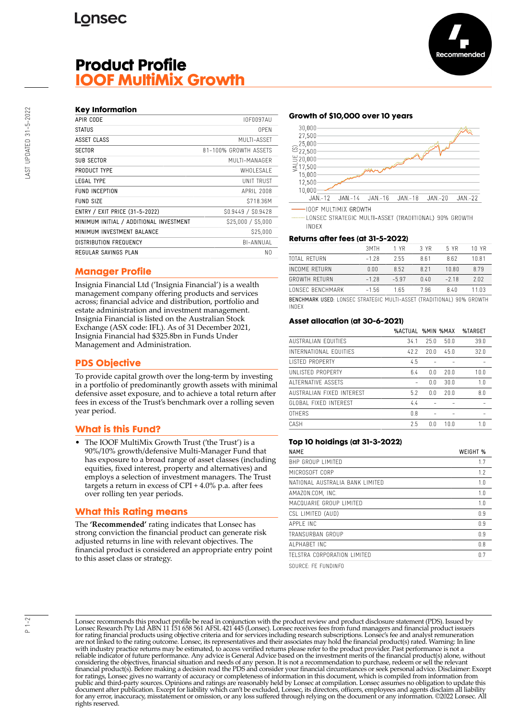# **Product Profile IOOF MultiMix Growth**

| APIR CODE                               | INFNN97AU             |
|-----------------------------------------|-----------------------|
| <b>STATUS</b>                           | 0PFN                  |
| ASSET CLASS                             | MUITI-ASSFT           |
| <b>SECTOR</b>                           | 81-100% GROWTH ASSFTS |
| <b>SUB SECTOR</b>                       | MUITI-MANAGER         |
| PRODUCT TYPE                            | WHOI FSAI F           |
| IFGAI TYPF                              | UNIT TRUST            |
| FUND INCEPTION                          | APRII 2008            |
| <b>FUND SIZE</b>                        | S718.36M              |
| ENTRY / EXIT PRICE (31-5-2022)          | S0.9449 / S0.9428     |
| MINIMUM INITIAL / ADDITIONAL INVESTMENT | \$25,000 / \$5,000    |
| MINIMUM INVESTMENT BALANCE              | S25.000               |
| DISTRIBUTION FREQUENCY                  | BI-ANNUAL             |
| REGULAR SAVINGS PLAN                    | N0                    |

# **Manager Profile**

Insignia Financial Ltd ('Insignia Financial') is a wealth management company offering products and services across; financial advice and distribution, portfolio and estate administration and investment management. Insignia Financial is listed on the Australian Stock Exchange (ASX code: IFL). As of 31 December 2021, Insignia Financial had \$325.8bn in Funds Under Management and Administration.

# **PDS Objective**

To provide capital growth over the long-term by investing in a portfolio of predominantly growth assets with minimal defensive asset exposure, and to achieve a total return after fees in excess of the Trust's benchmark over a rolling seven year period.

## **What is this Fund?**

• The IOOF MultiMix Growth Trust ('the Trust') is a 90%/10% growth/defensive Multi-Manager Fund that has exposure to a broad range of asset classes (including equities, fixed interest, property and alternatives) and employs a selection of investment managers. The Trust targets a return in excess of CPI + 4.0% p.a. after fees over rolling ten year periods.

## **What this Rating means**

The **'Recommended'** rating indicates that Lonsec has strong conviction the financial product can generate risk adjusted returns in line with relevant objectives. The financial product is considered an appropriate entry point to this asset class or strategy.

#### **Growth of \$10,000 over 10 years**



**IOOF MULTIMIX GROWTH** 

LONSEC STRATEGIC MULTI-ASSET (TRADITIONAL) 90% GROWTH **INDEX** 

#### **Returns after fees (at 31-5-2022)**

| BENCHMARK USED: LONSEC STRATEGIC MULTI-ASSET (TRADITIONAL) 90% GROWTH |         |         |       |        |       |
|-----------------------------------------------------------------------|---------|---------|-------|--------|-------|
| <b><i>LONSEC BENCHMARK</i></b>                                        | $-1.56$ | 165     | 7.96  | 840    | 11 03 |
| GROWTH RETURN                                                         | $-1.28$ | $-5.97$ | 0.40  | $-218$ | 2.02  |
| <b>INCOME RETURN</b>                                                  | 0.00    | 852     | 8 2 1 | 10.80  | 879   |
| TOTAL RETURN                                                          | $-1.28$ | 2.55    | 861   | 862    | 1081  |
|                                                                       | 3MTH    | 1 YR    | 3 YR  | 5 YR   | 10 YR |

INDEX

#### **Asset allocation (at 30-6-2021)**

|                           | <b>%ACTUAL %MIN %MAX</b> |      |      | %TARGET |
|---------------------------|--------------------------|------|------|---------|
| AUSTRALIAN FOUITIES       | 34.1                     | 25.0 | 50.0 | 39.0    |
| INTERNATIONAL FOUITIES    | 42.2                     | 20.0 | 45.0 | 32.0    |
| <b>LISTED PROPERTY</b>    | 4.5                      |      |      |         |
| UNI ISTED PROPERTY        | 6.4                      | 0.0  | 20.0 | 10.0    |
| ALTERNATIVE ASSETS        |                          | 0.0  | 30.0 | 1.0     |
| AUSTRALIAN FIXED INTEREST | 5.2                      | 0.0  | 20.0 | 8.0     |
| GLOBAL FIXED INTEREST     | 4.4                      |      |      |         |
| <b>OTHERS</b>             | 0.8                      |      |      |         |
| CASH                      | 2.5                      | ΛN   | 10.0 | 1.0     |
|                           |                          |      |      |         |

#### **Top 10 holdings (at 31-3-2022)**

| <b>NAME</b>                     | WEIGHT % |
|---------------------------------|----------|
| BHP GROUP LIMITED               | 1.7      |
| MICROSOFT CORP                  | 1.2      |
| NATIONAL AUSTRALIA BANK LIMITED | 1.0      |
| AMAZON.COM, INC.                | 1.0      |
| MACQUARIE GROUP LIMITED         | 1.0      |
| CSL LIMITED (AUD)               | 0.9      |
| APPI F INC                      | 0.9      |
| TRANSURBAN GROUP                | 0.9      |
| AI PHARFT INC                   | 0.8      |
| TELSTRA CORPORATION LIMITED     | 0.7      |
|                                 |          |

SOURCE: FE FUNDINFO

Lonsec recommends this product profile be read in conjunction with the product review and product disclosure statement (PDS). Issued by Lonsec Research Pty Ltd ABN 11 151 658 561 AFSL 421 445 (Lonsec). Lonsec receives fees from fund managers and financial product issuers for rating financial products using objective criteria and for services including research subscriptions. Lonsec's fee and analyst remuneration are not linked to the rating outcome. Lonsec, its representatives and their associates may hold the financial product(s) rated. Warning: In line with industry practice returns may be estimated, to access verified returns please refer to the product provider. Past performance is not a reliable indicator of future performance. Any advice is General Advice based on the investment merits of the financial product(s) alone, without considering the objectives, financial situation and needs of any person. It is not a recommendation to purchase, redeem or sell the relevant<br>financial product(s). Before making a decision read the PDS and consider your fin public and third-party sources. Opinions and ratings are reasonably held by Lonsec at compilation. Lonsec assumes no obligation to update this document after publication. Except for liability which can't be excluded, Lonsec, its directors, officers, employees and agents disclaim all liability for any error, inaccuracy, misstatement or omission, or any loss suffered through relying on the document or any information. ©2022 Lonsec. All rights reserved.